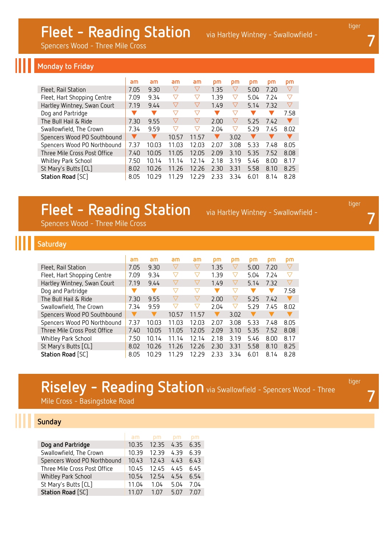Spencers Wood - Three Mile Cross

#### **Monday to Friday**

|                              | am   | am    | am                 | am                 | pm   | pm                 | pm   | pm   | pm                 |
|------------------------------|------|-------|--------------------|--------------------|------|--------------------|------|------|--------------------|
| Fleet, Rail Station          | 7.05 | 9.30  | $\triangledown$    | $\triangledown$    | 1.35 | $\bigtriangledown$ | 5.00 | 7.20 | $\bigtriangledown$ |
| Fleet, Hart Shopping Centre  | 7.09 | 9.34  | $\triangledown$    | $\triangledown$    | 1.39 | $\bigtriangledown$ | 5.04 | 7.24 | $\bigtriangledown$ |
| Hartley Wintney, Swan Court  | 7.19 | 9.44  | $\triangledown$    | $\bigtriangledown$ | 1.49 | $\bigtriangledown$ | 5.14 | 7.32 | $\bigtriangledown$ |
| Dog and Partridge            |      |       | ▽                  | $\bigtriangledown$ |      | $\bigtriangledown$ |      |      | 7.58               |
| The Bull Hail & Ride         | 7.30 | 9.55  | $\bigtriangledown$ | $\triangledown$    | 2.00 | $\triangledown$    | 5.25 | 7.42 |                    |
| Swallowfield, The Crown      | 7.34 | 9.59  | $\bigtriangledown$ | $\bigtriangledown$ | 2.04 | $\triangledown$    | 5.29 | 7.45 | 8.02               |
| Spencers Wood PO Southbound  |      |       | 10.57              | 11.57              |      | 3.02               |      |      |                    |
| Spencers Wood PO Northbound  | 7.37 | 10.03 | 11.03              | 12.03              | 2.07 | 3.08               | 5.33 | 7.48 | 8.05               |
| Three Mile Cross Post Office | 7.40 | 10.05 | 11.05              | 12.05              | 2.09 | 3.10               | 5.35 | 7.52 | 8.08               |
| Whitley Park School          | 7.50 | 10.14 | 11.14              | 12.14              | 2.18 | 3.19               | 5.46 | 8.00 | 8.17               |
| St Mary's Butts [CL]         | 8.02 | 10.26 | 11.26              | 12.26              | 2.30 | 3.31               | 5.58 | 8.10 | 8.25               |
| Station Road [SC]            | 8.05 | 10.29 | 11.29              | 12.29              | 2.33 | 3.34               | 6.01 | 8.14 | 8.28               |

### **Fleet - Reading Station** via Hartley Wintney - Swallowfield -

Spencers Wood - Three Mile Cross

#### **Saturday**

|                              | am   | am    | am                 | am                 | pm   | pm                 | pm   | pm   | pm                 |
|------------------------------|------|-------|--------------------|--------------------|------|--------------------|------|------|--------------------|
| Fleet, Rail Station          | 7.05 | 9.30  |                    | $\triangledown$    | 1.35 | $\triangledown$    | 5.00 | 7.20 | $\bigtriangledown$ |
| Fleet, Hart Shopping Centre  | 7.09 | 9.34  | $\bigtriangledown$ | $\bigtriangledown$ | 1.39 | $\bigtriangledown$ | 5.04 | 7.24 | $\bigtriangledown$ |
| Hartley Wintney, Swan Court  | 7.19 | 9.44  | $\bigtriangledown$ | $\bigtriangledown$ | 1.49 | $\triangledown$    | 5.14 | 7.32 | $\bigtriangledown$ |
| Dog and Partridge            |      |       | ▽                  | ▽                  |      | ▽                  |      |      | 7.58               |
| The Bull Hail & Ride         | 7.30 | 9.55  |                    | $\bigtriangledown$ | 2.00 | $\bigtriangledown$ | 5.25 | 7.42 |                    |
| Swallowfield, The Crown      | 7.34 | 9.59  | ▽                  | $\bigtriangledown$ | 2.04 | $\bigtriangledown$ | 5.29 | 7.45 | 8.02               |
| Spencers Wood PO Southbound  |      |       | 10.57              | 11.57              |      | 3.02               |      |      |                    |
| Spencers Wood PO Northbound  | 7.37 | 10.03 | 11.03              | 12.03              | 2.07 | 3.08               | 5.33 | 7.48 | 8.05               |
| Three Mile Cross Post Office | 7.40 | 10.05 | 11.05              | 12.05              | 2.09 | 3.10               | 5.35 | 7.52 | 8.08               |
| Whitley Park School          | 7.50 | 10.14 | 11.14              | 12.14              | 2.18 | 3.19               | 5.46 | 8.00 | 8.17               |
| St Mary's Butts [CL]         | 8.02 | 10.26 | 11.26              | 12.26              | 2.30 | 3.31               | 5.58 | 8.10 | 8.25               |
| Station Road [SC]            | 8.05 | 10.29 | 11.29              | 12.29              | 2.33 | 3.34               | 6.01 | 8.14 | 8.28               |

# **Riseley - Reading Station** via Swallowfield - Spencers Wood - Three

Mile Cross - Basingstoke Road

### **Sunday**

|                              | am    | <b>DM</b> | DM   | DM   |
|------------------------------|-------|-----------|------|------|
| Dog and Partridge            | 10.35 | 12.35     | 4.35 | 6.35 |
| Swallowfield, The Crown      | 10.39 | 12.39     | 4.39 | 6.39 |
| Spencers Wood PO Northbound  | 10.43 | 12.43     | 4.43 | 6.43 |
| Three Mile Cross Post Office | 10.45 | 12.45     | 4.45 | 6.45 |
| Whitley Park School          | 10.54 | 12.54     | 4.54 | 6.54 |
| St Mary's Butts [CL]         | 11.04 | 1.04      | 5.04 | 7.04 |
| Station Road [SC]            |       | 1 በ7      | 5.07 |      |

tiger

**7**

tiger

**7**

**7**